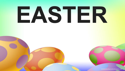## EASTER

christianbackgrounds.blogspot.com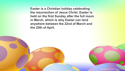**Easter is a Christian holiday celebrating the resurrection of Jesus Christ. Easter is held on the first Sunday after the full moon in March, which is why Easter can land anywhere between the 22nd of March and the 25th of April.**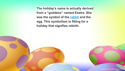**The holiday's name is actually derived from a "goddess" named Eastre. She was the symbol of the [rabbit](https://kidskonnect.com/animals/rabbit/) and the egg. This symbolism is fitting for a holiday that signifies rebirth.**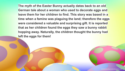**The myth of the Easter Bunny actually dates back to an old German tale about a woman who used to decorate eggs and leave them for her children to find. This story was based in a time when a famine was plaguing the land; therefore the eggs were considered a valuable and surprising gift. It is reported that as her children found the eggs they saw a bunny rabbit hopping away. Naturally, the children thought the bunny had left the eggs for them!**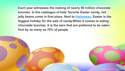**Each year witnesses the making of nearly 90 million chocolate bunnies. In the catalogue of kids' favorite Easter candy, red jelly beans come in first place. Next to [Halloween,](https://kidskonnect.com/holidays-seasons/halloween/) Easter is the biggest holiday for the sale of candy.When it comes to eating chocolate bunnies, it is the ears that are preferred to be eaten first by as many as 76% of people.**